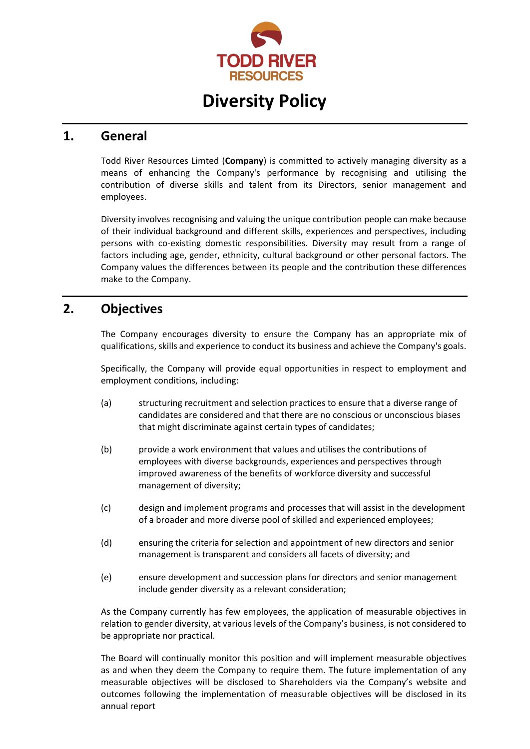

# **Diversity Policy**

#### **1. General**

Todd River Resources Limted (**Company**) is committed to actively managing diversity as a means of enhancing the Company's performance by recognising and utilising the contribution of diverse skills and talent from its Directors, senior management and employees.

Diversity involves recognising and valuing the unique contribution people can make because of their individual background and different skills, experiences and perspectives, including persons with co-existing domestic responsibilities. Diversity may result from a range of factors including age, gender, ethnicity, cultural background or other personal factors. The Company values the differences between its people and the contribution these differences make to the Company.

### **2. Objectives**

The Company encourages diversity to ensure the Company has an appropriate mix of qualifications, skills and experience to conduct its business and achieve the Company's goals.

Specifically, the Company will provide equal opportunities in respect to employment and employment conditions, including:

- (a) structuring recruitment and selection practices to ensure that a diverse range of candidates are considered and that there are no conscious or unconscious biases that might discriminate against certain types of candidates;
- (b) provide a work environment that values and utilises the contributions of employees with diverse backgrounds, experiences and perspectives through improved awareness of the benefits of workforce diversity and successful management of diversity;
- (c) design and implement programs and processes that will assist in the development of a broader and more diverse pool of skilled and experienced employees;
- (d) ensuring the criteria for selection and appointment of new directors and senior management is transparent and considers all facets of diversity; and
- (e) ensure development and succession plans for directors and senior management include gender diversity as a relevant consideration;

As the Company currently has few employees, the application of measurable objectives in relation to gender diversity, at various levels of the Company's business, is not considered to be appropriate nor practical.

The Board will continually monitor this position and will implement measurable objectives as and when they deem the Company to require them. The future implementation of any measurable objectives will be disclosed to Shareholders via the Company's website and outcomes following the implementation of measurable objectives will be disclosed in its annual report